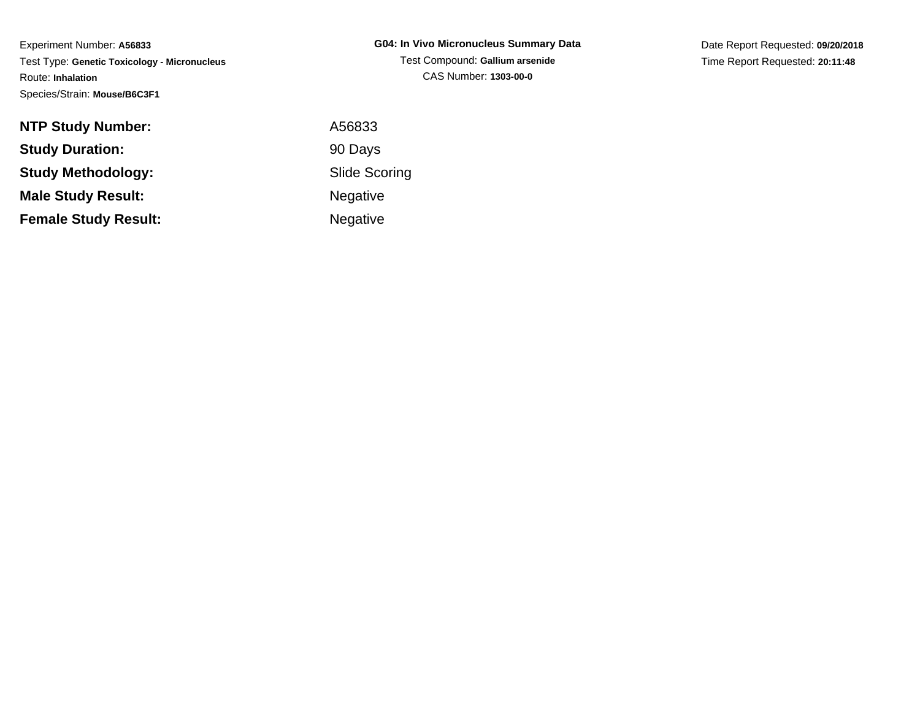Experiment Number: **A56833** Test Type: **Genetic Toxicology - Micronucleus**Route: **Inhalation**Species/Strain: **Mouse/B6C3F1**

| G04: In Vivo Micronucleus Summary Data |
|----------------------------------------|
| Test Compound: Gallium arsenide        |
| CAS Number: 1303-00-0                  |

Date Report Requested: **09/20/2018**Time Report Requested: **20:11:48**

| <b>NTP Study Number:</b>    | A56833               |
|-----------------------------|----------------------|
| <b>Study Duration:</b>      | 90 Days              |
| <b>Study Methodology:</b>   | <b>Slide Scoring</b> |
| <b>Male Study Result:</b>   | <b>Negative</b>      |
| <b>Female Study Result:</b> | <b>Negative</b>      |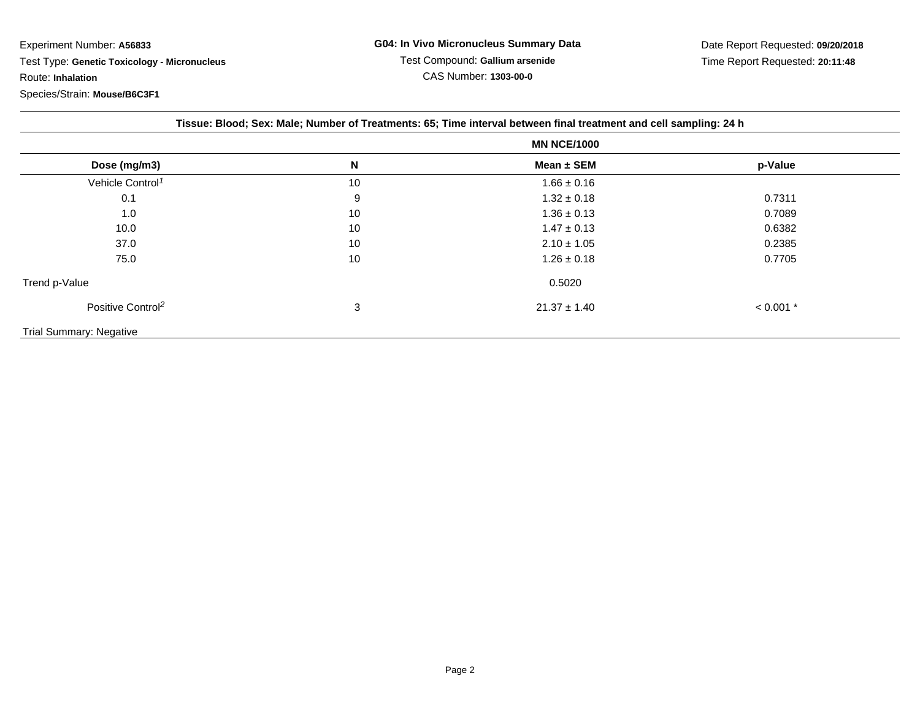Experiment Number: **A56833** Test Type: **Genetic Toxicology - Micronucleus**Route: **Inhalation**Species/Strain: **Mouse/B6C3F1**

| Tissue: Blood; Sex: Male; Number of Treatments: 65; Time interval between final treatment and cell sampling: 24 h |    |                  |             |  |
|-------------------------------------------------------------------------------------------------------------------|----|------------------|-------------|--|
|                                                                                                                   |    |                  |             |  |
| Dose (mg/m3)                                                                                                      | N  | Mean ± SEM       | p-Value     |  |
| Vehicle Control <sup>1</sup>                                                                                      | 10 | $1.66 \pm 0.16$  |             |  |
| 0.1                                                                                                               | 9  | $1.32 \pm 0.18$  | 0.7311      |  |
| 1.0                                                                                                               | 10 | $1.36 \pm 0.13$  | 0.7089      |  |
| 10.0                                                                                                              | 10 | $1.47 \pm 0.13$  | 0.6382      |  |
| 37.0                                                                                                              | 10 | $2.10 \pm 1.05$  | 0.2385      |  |
| 75.0                                                                                                              | 10 | $1.26 \pm 0.18$  | 0.7705      |  |
| Trend p-Value                                                                                                     |    | 0.5020           |             |  |
| Positive Control <sup>2</sup>                                                                                     | 3  | $21.37 \pm 1.40$ | $< 0.001$ * |  |
| <b>Trial Summary: Negative</b>                                                                                    |    |                  |             |  |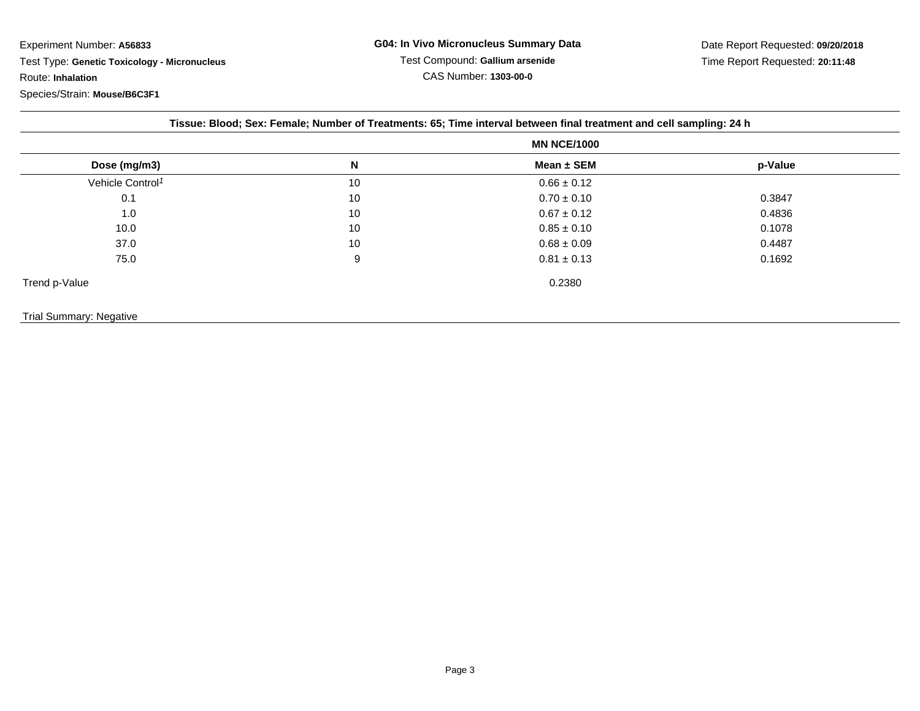Experiment Number: **A56833**

 Test Type: **Genetic Toxicology - Micronucleus**Route: **Inhalation**

Species/Strain: **Mouse/B6C3F1**

|                              |    | <b>MN NCE/1000</b> |         |
|------------------------------|----|--------------------|---------|
| Dose (mg/m3)                 | N  | Mean $\pm$ SEM     | p-Value |
| Vehicle Control <sup>1</sup> | 10 | $0.66 \pm 0.12$    |         |
| 0.1                          | 10 | $0.70 \pm 0.10$    | 0.3847  |
| 1.0                          | 10 | $0.67 \pm 0.12$    | 0.4836  |
| 10.0                         | 10 | $0.85 \pm 0.10$    | 0.1078  |
| 37.0                         | 10 | $0.68 \pm 0.09$    | 0.4487  |
| 75.0                         | 9  | $0.81 \pm 0.13$    | 0.1692  |
| Trend p-Value                |    | 0.2380             |         |